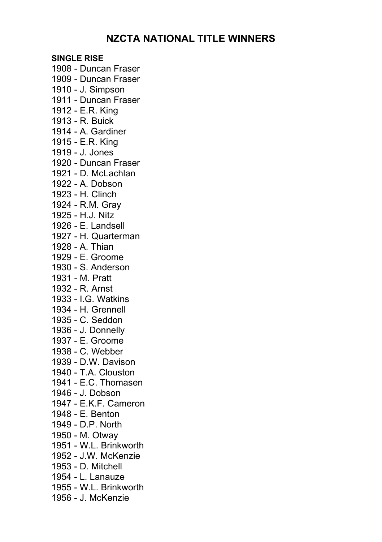# **NZCTA NATIONAL TITLE WINNERS**

**SINGLE RISE** 1908 - Duncan Fraser 1909 - Duncan Fraser 1910 - J. Simpson 1911 - Duncan Fraser 1912 - E.R. King 1913 - R. Buick 1914 - A. Gardiner 1915 - E.R. King 1919 - J. Jones 1920 - Duncan Fraser 1921 - D. McLachlan 1922 - A. Dobson 1923 - H. Clinch 1924 - R.M. Gray 1925 - H.J. Nitz 1926 - E. Landsell 1927 - H. Quarterman 1928 - A. Thian 1929 - E. Groome 1930 - S. Anderson 1931 - M. Pratt 1932 - R. Arnst 1933 - I.G. Watkins 1934 - H. Grennell 1935 - C. Seddon 1936 - J. Donnelly 1937 - E. Groome 1938 - C. Webber 1939 - D.W. Davison 1940 - T.A. Clouston 1941 - E.C. Thomasen 1946 - J. Dobson 1947 - E.K.F. Cameron 1948 - E. Benton 1949 - D.P. North 1950 - M. Otway 1951 - W.L. Brinkworth 1952 - J.W. McKenzie 1953 - D. Mitchell 1954 - L. Lanauze 1955 - W.L. Brinkworth 1956 - J. McKenzie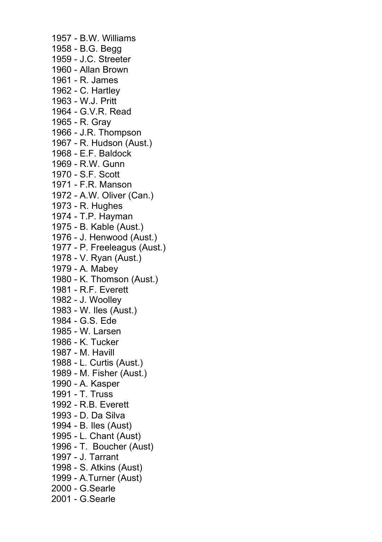1957 - B.W. Williams 1958 - B.G. Begg 1959 - J.C. Streeter 1960 - Allan Brown 1961 - R. James 1962 - C. Hartley 1963 - W.J. Pritt 1964 - G.V.R. Read 1965 - R. Gray 1966 - J.R. Thompson 1967 - R. Hudson (Aust.) 1968 - E.F. Baldock 1969 - R.W. Gunn 1970 - S.F. Scott 1971 - F.R. Manson 1972 - A.W. Oliver (Can.) 1973 - R. Hughes 1974 - T.P. Hayman 1975 - B. Kable (Aust.) 1976 - J. Henwood (Aust.) 1977 - P. Freeleagus (Aust.) 1978 - V. Ryan (Aust.) 1979 - A. Mabey 1980 - K. Thomson (Aust.) 1981 - R.F. Everett 1982 - J. Woolley 1983 - W. Iles (Aust.) 1984 - G.S. Ede 1985 - W. Larsen 1986 - K. Tucker 1987 - M. Havill 1988 - L. Curtis (Aust.) 1989 - M. Fisher (Aust.) 1990 - A. Kasper 1991 - T. Truss 1992 - R.B. Everett 1993 - D. Da Silva 1994 - B. Iles (Aust) 1995 - L. Chant (Aust) 1996 - T. Boucher (Aust) 1997 - J. Tarrant 1998 - S. Atkins (Aust) 1999 - A.Turner (Aust) 2000 - G.Searle 2001 - G.Searle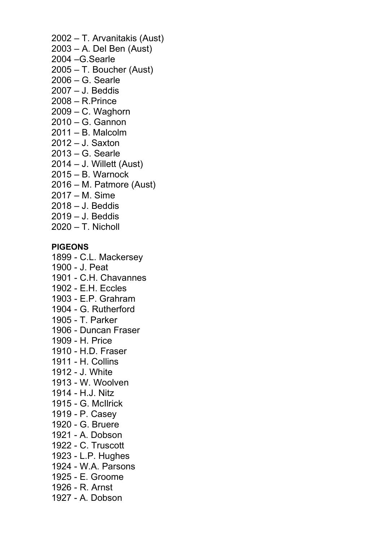- 2002 T. Arvanitakis (Aust) 2003 – A. Del Ben (Aust)
- 2004 –G.Searle
- 2005 T. Boucher (Aust)
- 2006 G. Searle
- 2007 J. Beddis
- 2008 R.Prince
- 2009 C. Waghorn
- 2010 G. Gannon
- 2011 B. Malcolm
- 2012 J. Saxton
- 2013 G. Searle
- 2014 J. Willett (Aust)
- 2015 B. Warnock
- 2016 M. Patmore (Aust)
- 2017 M. Sime
- 2018 J. Beddis
- 2019 J. Beddis
- 2020 T. Nicholl

# **PIGEONS**

1899 - C.L. Mackersey

- 1900 J. Peat
- 1901 C.H. Chavannes
- 1902 E.H. Eccles
- 1903 E.P. Grahram
- 1904 G. Rutherford
- 1905 T. Parker
- 1906 Duncan Fraser
- 1909 H. Price
- 1910 H.D. Fraser
- 1911 H. Collins
- 1912 J. White
- 1913 W. Woolven
- 1914 H.J. Nitz
- 1915 G. McIlrick
- 1919 P. Casey
- 1920 G. Bruere
- 1921 A. Dobson
- 1922 C. Truscott
- 1923 L.P. Hughes
- 1924 W.A. Parsons
- 1925 E. Groome
- 1926 R. Arnst
- 1927 A. Dobson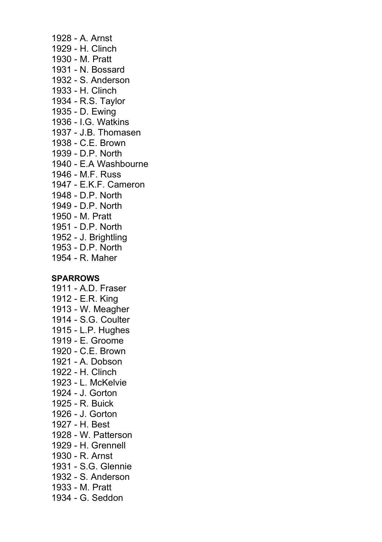1928 - A. Arnst 1929 - H. Clinch 1930 - M. Pratt 1931 - N. Bossard 1932 - S. Anderson 1933 - H. Clinch 1934 - R.S. Taylor 1935 - D. Ewing 1936 - I.G. Watkins 1937 - J.B. Thomasen 1938 - C.E. Brown 1939 - D.P. North 1940 - E.A Washbourne 1946 - M.F. Russ 1947 - E.K.F. Cameron 1948 - D.P. North 1949 - D.P. North 1950 - M. Pratt 1951 - D.P. North 1952 - J. Brightling 1953 - D.P. North 1954 - R. Maher **SPARROWS**

1911 - A.D. Fraser 1912 - E.R. King 1913 - W. Meagher 1914 - S.G. Coulter 1915 - L.P. Hughes 1919 - E. Groome 1920 - C.E. Brown 1921 - A. Dobson 1922 - H. Clinch 1923 - L. McKelvie 1924 - J. Gorton 1925 - R. Buick 1926 - J. Gorton 1927 - H. Best 1928 - W. Patterson 1929 - H. Grennell 1930 - R. Arnst 1931 - S.G. Glennie 1932 - S. Anderson 1933 - M. Pratt 1934 - G. Seddon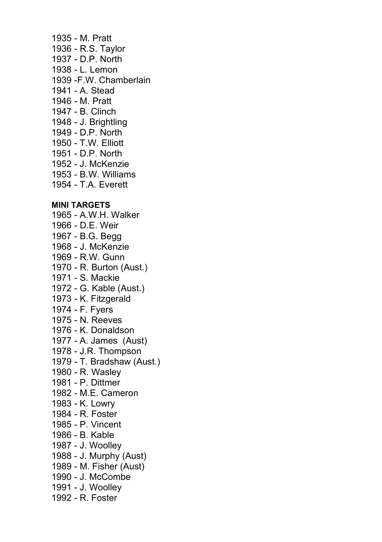1935 - M. Pratt 1936 - R.S. Taylor 1937 - D.P. North 1938 - L. Lemon 1939 -F.W. Chamberlain 1941 - A. Stead 1946 - M. Pratt 1947 - B. Clinch 1948 - J. Brightling 1949 - D.P. North 1950 - T.W. Elliott 1951 - D.P. North 1952 - J. McKenzie 1953 - B.W. Williams 1954 - T.A. Everett **MINI TARGETS** 1965 - A.W.H. Walker 1966 - D.E. Weir 1967 - B.G. Begg 1968 - J. McKenzie 1969 - R.W. Gunn 1970 - R. Burton (Aust.) 1971 - S. Mackie 1972 - G. Kable (Aust.) 1973 - K. Fitzgerald 1974 - F. Fyers 1975 - N. Reeves 1976 - K. Donaldson 1977 - A. James (Aust) 1978 - J.R. Thompson 1979 - T. Bradshaw (Aust.) 1980 - R. Wasley 1981 - P. Dittmer 1982 - M.E. Cameron 1983 - K. Lowry 1984 - R. Foster 1985 - P. Vincent 1986 - B. Kable 1987 - J. Woolley 1988 - J. Murphy (Aust) 1989 - M. Fisher (Aust) 1990 - J. McCombe 1991 - J. Woolley 1992 - R. Foster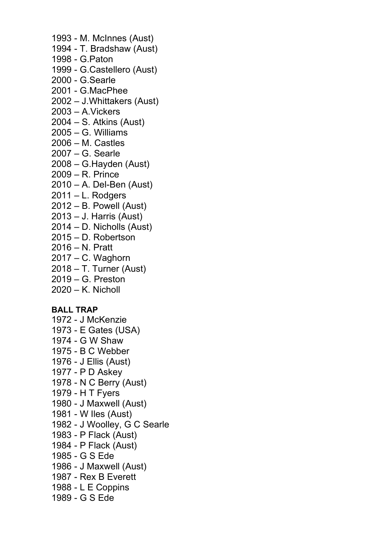- 1993 M. McInnes (Aust)
- 1994 T. Bradshaw (Aust)
- 1998 G.Paton
- 1999 G.Castellero (Aust)
- 2000 G.Searle
- 2001 G.MacPhee
- 2002 J.Whittakers (Aust)
- 2003 A.Vickers
- 2004 S. Atkins (Aust)
- 2005 G. Williams
- 2006 M. Castles
- 2007 G. Searle
- 2008 G.Hayden (Aust)
- 2009 R. Prince
- 2010 A. Del-Ben (Aust)
- 2011 L. Rodgers
- 2012 B. Powell (Aust)
- 2013 J. Harris (Aust)
- 2014 D. Nicholls (Aust)
- 2015 D. Robertson
- 2016 N. Pratt
- 2017 C. Waghorn
- 2018 T. Turner (Aust)
- 2019 G. Preston
- 2020 K. Nicholl

### **BALL TRAP**

- 1972 J McKenzie
- 1973 E Gates (USA)
- 1974 G W Shaw
- 1975 B C Webber
- 1976 J Ellis (Aust)
- 1977 P D Askey
- 1978 N C Berry (Aust)
- 1979 H T Fyers
- 1980 J Maxwell (Aust)
- 1981 W Iles (Aust)
- 1982 J Woolley, G C Searle
- 1983 P Flack (Aust)
- 1984 P Flack (Aust)
- 1985 G S Ede
- 1986 J Maxwell (Aust)
- 1987 Rex B Everett
- 1988 L E Coppins
- 1989 G S Ede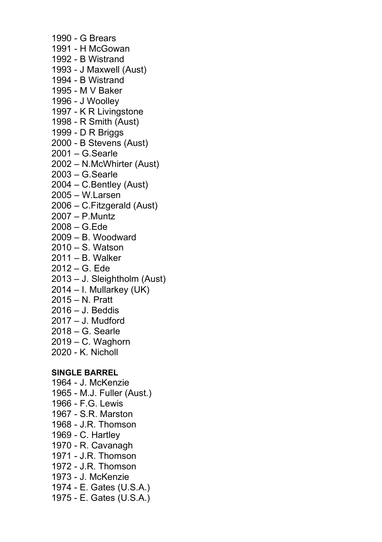1990 - G Brears 1991 - H McGowan 1992 - B Wistrand 1993 - J Maxwell (Aust) 1994 - B Wistrand 1995 - M V Baker 1996 - J Woolley 1997 - K R Livingstone 1998 - R Smith (Aust) 1999 - D R Briggs 2000 - B Stevens (Aust) 2001 – G.Searle 2002 – N.McWhirter (Aust) 2003 – G.Searle 2004 – C.Bentley (Aust) 2005 – W.Larsen 2006 – C.Fitzgerald (Aust) 2007 – P.Muntz 2008 – G.Ede 2009 – B. Woodward 2010 – S. Watson 2011 – B. Walker 2012 – G. Ede 2013 – J. Sleightholm (Aust) 2014 – I. Mullarkey (UK) 2015 – N. Pratt 2016 – J. Beddis

- 2017 J. Mudford
- 2018 G. Searle
- 2019 C. Waghorn
- 2020 K. Nicholl

### **SINGLE BARREL**

- 1964 J. McKenzie
- 1965 M.J. Fuller (Aust.)
- 1966 F.G. Lewis
- 1967 S.R. Marston
- 1968 J.R. Thomson
- 1969 C. Hartley
- 1970 R. Cavanagh
- 1971 J.R. Thomson
- 1972 J.R. Thomson
- 1973 J. McKenzie
- 1974 E. Gates (U.S.A.)
- 1975 E. Gates (U.S.A.)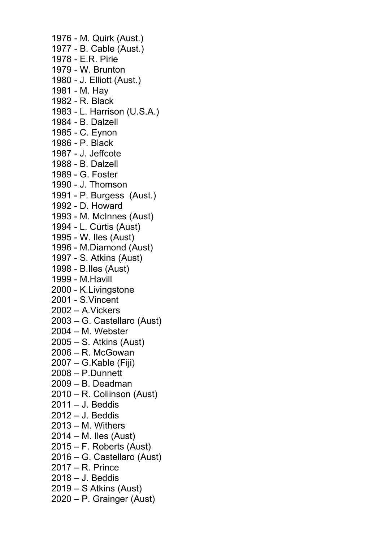1976 - M. Quirk (Aust.) 1977 - B. Cable (Aust.) 1978 - E.R. Pirie 1979 - W. Brunton 1980 - J. Elliott (Aust.) 1981 - M. Hay 1982 - R. Black 1983 - L. Harrison (U.S.A.) 1984 - B. Dalzell 1985 - C. Eynon 1986 - P. Black 1987 - J. Jeffcote 1988 - B. Dalzell 1989 - G. Foster 1990 - J. Thomson 1991 - P. Burgess (Aust.) 1992 - D. Howard 1993 - M. McInnes (Aust) 1994 - L. Curtis (Aust) 1995 - W. Iles (Aust) 1996 - M.Diamond (Aust) 1997 - S. Atkins (Aust) 1998 - B.Iles (Aust) 1999 - M.Havill 2000 - K.Livingstone 2001 - S.Vincent 2002 – A.Vickers 2003 – G. Castellaro (Aust) 2004 – M. Webster 2005 – S. Atkins (Aust) 2006 – R. McGowan 2007 – G.Kable (Fiji) 2008 – P.Dunnett 2009 – B. Deadman 2010 – R. Collinson (Aust) 2011 – J. Beddis 2012 – J. Beddis 2013 – M. Withers 2014 – M. Iles (Aust) 2015 – F. Roberts (Aust) 2016 – G. Castellaro (Aust) 2017 – R. Prince 2018 – J. Beddis 2019 – S Atkins (Aust) 2020 – P. Grainger (Aust)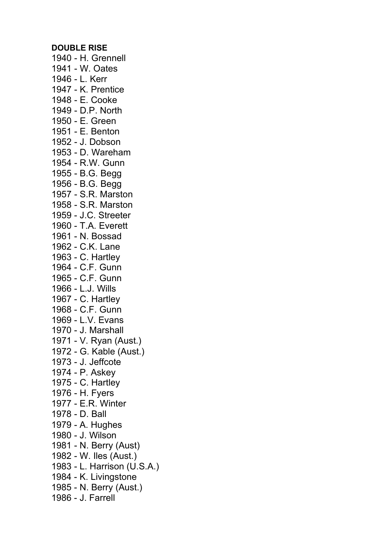#### **DOUBLE RISE**

1940 - H. Grennell 1941 - W. Oates 1946 - L. Kerr 1947 - K. Prentice 1948 - E. Cooke 1949 - D.P. North 1950 - E. Green 1951 - E. Benton 1952 - J. Dobson 1953 - D. Wareham 1954 - R.W. Gunn 1955 - B.G. Begg 1956 - B.G. Begg 1957 - S.R. Marston 1958 - S.R. Marston 1959 - J.C. Streeter 1960 - T.A. Everett 1961 - N. Bossad 1962 - C.K. Lane 1963 - C. Hartley 1964 - C.F. Gunn 1965 - C.F. Gunn 1966 - L.J. Wills 1967 - C. Hartley 1968 - C.F. Gunn 1969 - L.V. Evans 1970 - J. Marshall 1971 - V. Ryan (Aust.) 1972 - G. Kable (Aust.) 1973 - J. Jeffcote 1974 - P. Askey 1975 - C. Hartley 1976 - H. Fyers 1977 - E.R. Winter 1978 - D. Ball 1979 - A. Hughes 1980 - J. Wilson 1981 - N. Berry (Aust) 1982 - W. Iles (Aust.) 1983 - L. Harrison (U.S.A.) 1984 - K. Livingstone 1985 - N. Berry (Aust.) 1986 - J. Farrell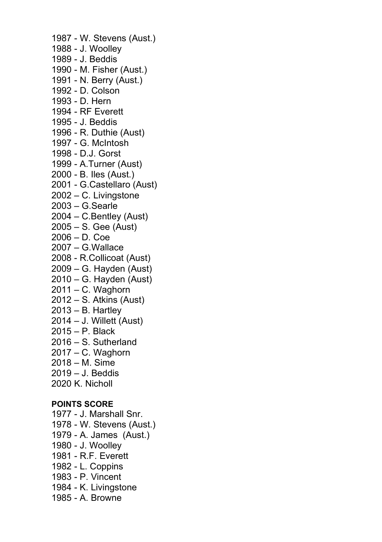1987 - W. Stevens (Aust.) 1988 - J. Woolley 1989 - J. Beddis 1990 - M. Fisher (Aust.) 1991 - N. Berry (Aust.) 1992 - D. Colson 1993 - D. Hern 1994 - RF Everett 1995 - J. Beddis 1996 - R. Duthie (Aust) 1997 - G. McIntosh 1998 - D.J. Gorst 1999 - A.Turner (Aust) 2000 - B. Iles (Aust.) 2001 - G.Castellaro (Aust) 2002 – C. Livingstone 2003 – G.Searle 2004 – C.Bentley (Aust) 2005 – S. Gee (Aust) 2006 – D. Coe 2007 – G.Wallace 2008 - R.Collicoat (Aust) 2009 – G. Hayden (Aust) 2010 – G. Hayden (Aust) 2011 – C. Waghorn 2012 – S. Atkins (Aust) 2013 – B. Hartley 2014 – J. Willett (Aust) 2015 – P. Black 2016 – S. Sutherland 2017 – C. Waghorn 2018 – M. Sime 2019 – J. Beddis 2020 K. Nicholl **POINTS SCORE** 1977 - J. Marshall Snr. 1978 - W. Stevens (Aust.) 1979 - A. James (Aust.) 1980 - J. Woolley 1981 - R.F. Everett

- 1982 L. Coppins
- 1983 P. Vincent
- 1984 K. Livingstone
- 1985 A. Browne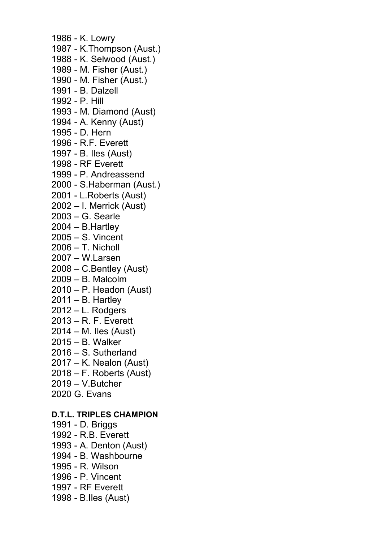1986 - K. Lowry 1987 - K.Thompson (Aust.) 1988 - K. Selwood (Aust.) 1989 - M. Fisher (Aust.) 1990 - M. Fisher (Aust.) 1991 - B. Dalzell 1992 - P. Hill 1993 - M. Diamond (Aust) 1994 - A. Kenny (Aust) 1995 - D. Hern 1996 - R.F. Everett 1997 - B. Iles (Aust) 1998 - RF Everett 1999 - P. Andreassend 2000 - S.Haberman (Aust.) 2001 - L.Roberts (Aust) 2002 – I. Merrick (Aust) 2003 – G. Searle 2004 – B.Hartley 2005 – S. Vincent  $2006 - T$  Nicholl 2007 – W.Larsen 2008 – C.Bentley (Aust) 2009 – B. Malcolm 2010 – P. Headon (Aust) 2011 – B. Hartley 2012 – L. Rodgers 2013 – R. F. Everett 2014 – M. Iles (Aust) 2015 – B. Walker 2016 – S. Sutherland 2017 – K. Nealon (Aust) 2018 – F. Roberts (Aust) 2019 – V.Butcher 2020 G. Evans **D.T.L. TRIPLES CHAMPION** 1991 - D. Briggs 1992 - R.B. Everett 1993 - A. Denton (Aust) 1994 - B. Washbourne 1995 - R. Wilson 1996 - P. Vincent

- 1997 RF Everett
- 1998 B.Iles (Aust)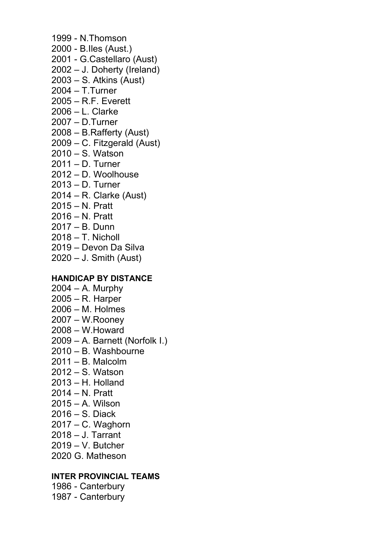- 1999 N.Thomson
- 2000 B.Iles (Aust.)
- 2001 G.Castellaro (Aust)
- 2002 J. Doherty (Ireland)
- 2003 S. Atkins (Aust)
- 2004 T.Turner
- 2005 R.F. Everett
- 2006 L. Clarke
- 2007 D.Turner
- 2008 B.Rafferty (Aust)
- 2009 C. Fitzgerald (Aust)
- 2010 S. Watson
- 2011 D. Turner
- 2012 D. Woolhouse
- 2013 D. Turner
- 2014 R. Clarke (Aust)
- 2015 N. Pratt
- 2016 N. Pratt
- 2017 B. Dunn
- 2018 T. Nicholl
- 2019 Devon Da Silva
- 2020 J. Smith (Aust)

# **HANDICAP BY DISTANCE**

- 2004 A. Murphy
- 2005 R. Harper
- 2006 M. Holmes
- 2007 W.Rooney
- 2008 W.Howard
- 2009 A. Barnett (Norfolk I.)
- 2010 B. Washbourne
- 2011 B. Malcolm
- 2012 S. Watson
- 2013 H. Holland
- 2014 N. Pratt
- 2015 A. Wilson
- 2016 S. Diack
- 2017 C. Waghorn
- 2018 J. Tarrant
- 2019 V. Butcher
- 2020 G. Matheson

# **INTER PROVINCIAL TEAMS**

1986 - Canterbury 1987 - Canterbury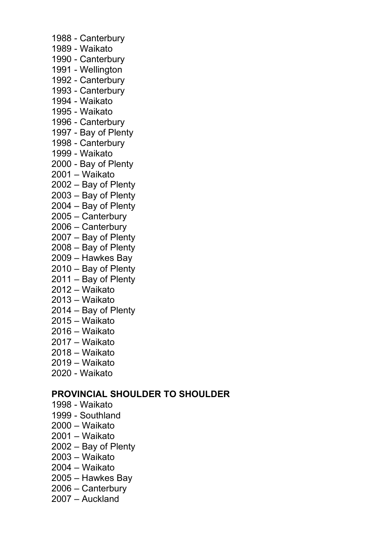- 1988 Canterbury 1989 - Waikato 1990 - Canterbury 1991 - Wellington 1992 - Canterbury 1993 - Canterbury 1994 - Waikato
- 1995 Waikato
- 1996 Canterbury
- 1997 Bay of Plenty
- 1998 Canterbury
- 1999 Waikato
- 2000 Bay of Plenty
- 2001 Waikato
- 2002 Bay of Plenty
- 2003 Bay of Plenty
- 2004 Bay of Plenty
- 2005 Canterbury
- 2006 Canterbury
- 2007 Bay of Plenty
- 2008 Bay of Plenty
- 2009 Hawkes Bay
- 2010 Bay of Plenty
- 2011 Bay of Plenty
- 2012 Waikato
- 2013 Waikato
- 2014 Bay of Plenty
- 2015 Waikato
- 2016 Waikato
- 2017 Waikato
- 2018 Waikato
- 2019 Waikato
- 2020 Waikato

### **PROVINCIAL SHOULDER TO SHOULDER**

- 1998 Waikato
- 1999 Southland
- 2000 Waikato
- 2001 Waikato
- 2002 Bay of Plenty
- 2003 Waikato
- 2004 Waikato
- 2005 Hawkes Bay
- 2006 Canterbury
- 2007 Auckland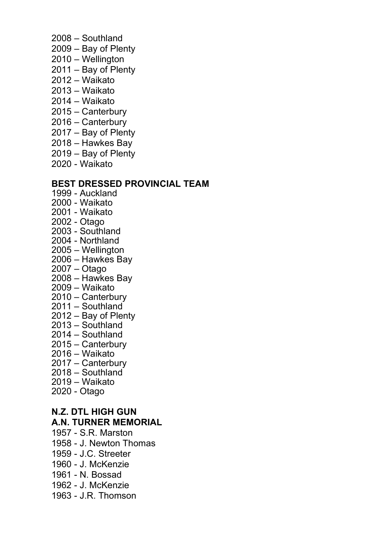- 2008 Southland
- 2009 Bay of Plenty
- 2010 Wellington
- 2011 Bay of Plenty
- 2012 Waikato
- 2013 Waikato
- 2014 Waikato
- 2015 Canterbury
- 2016 Canterbury
- 2017 Bay of Plenty
- 2018 Hawkes Bay
- 2019 Bay of Plenty
- 2020 Waikato

### **BEST DRESSED PROVINCIAL TEAM**

- 1999 Auckland
- 2000 Waikato
- 2001 Waikato
- 2002 Otago
- 2003 Southland
- 2004 Northland
- 2005 Wellington
- 2006 Hawkes Bay
- 2007 Otago
- 2008 Hawkes Bay
- 2009 Waikato
- 2010 Canterbury
- 2011 Southland
- 2012 Bay of Plenty
- 2013 Southland
- 2014 Southland
- 2015 Canterbury
- 2016 Waikato
- 2017 Canterbury
- 2018 Southland
- 2019 Waikato
- 2020 Otago

# **N.Z. DTL HIGH GUN A.N. TURNER MEMORIAL**

- 1957 S.R. Marston
- 1958 J. Newton Thomas
- 1959 J.C. Streeter
- 1960 J. McKenzie
- 1961 N. Bossad
- 1962 J. McKenzie
- 1963 J.R. Thomson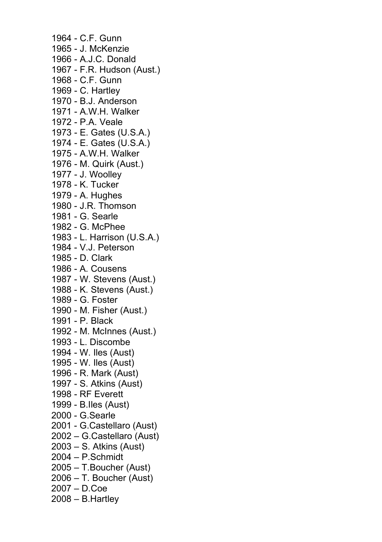1964 - C.F. Gunn 1965 - J. McKenzie 1966 - A.J.C. Donald 1967 - F.R. Hudson (Aust.) 1968 - C.F. Gunn 1969 - C. Hartley 1970 - B.J. Anderson 1971 - A.W.H. Walker 1972 - P.A. Veale 1973 - E. Gates (U.S.A.) 1974 - E. Gates (U.S.A.) 1975 - A.W.H. Walker 1976 - M. Quirk (Aust.) 1977 - J. Woolley 1978 - K. Tucker 1979 - A. Hughes 1980 - J.R. Thomson 1981 - G. Searle 1982 - G. McPhee 1983 - L. Harrison (U.S.A.) 1984 - V.J. Peterson 1985 - D. Clark 1986 - A. Cousens 1987 - W. Stevens (Aust.) 1988 - K. Stevens (Aust.) 1989 - G. Foster 1990 - M. Fisher (Aust.) 1991 - P. Black 1992 - M. McInnes (Aust.) 1993 - L. Discombe 1994 - W. Iles (Aust) 1995 - W. Iles (Aust) 1996 - R. Mark (Aust) 1997 - S. Atkins (Aust) 1998 - RF Everett 1999 - B.Iles (Aust) 2000 - G.Searle 2001 - G.Castellaro (Aust) 2002 – G.Castellaro (Aust) 2003 – S. Atkins (Aust) 2004 – P.Schmidt 2005 – T.Boucher (Aust) 2006 – T. Boucher (Aust) 2007 – D.Coe 2008 – B.Hartley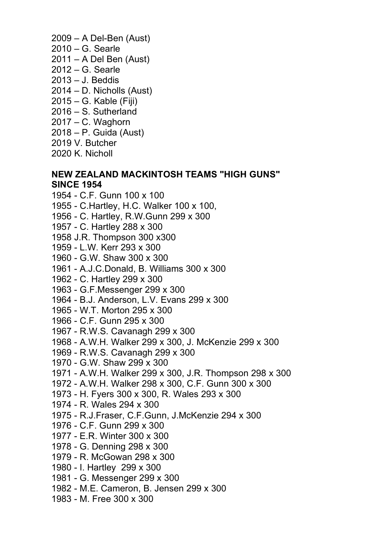- 2009 A Del-Ben (Aust)
- 2010 G. Searle
- 2011 A Del Ben (Aust)
- 2012 G. Searle
- 2013 J. Beddis
- 2014 D. Nicholls (Aust)
- 2015 G. Kable (Fiji)
- 2016 S. Sutherland
- 2017 C. Waghorn
- 2018 P. Guida (Aust)
- 2019 V. Butcher
- 2020 K. Nicholl

# **NEW ZEALAND MACKINTOSH TEAMS "HIGH GUNS" SINCE 1954**

- 1954 C.F. Gunn 100 x 100
- 1955 C.Hartley, H.C. Walker 100 x 100,
- 1956 C. Hartley, R.W.Gunn 299 x 300
- 1957 C. Hartley 288 x 300
- 1958 J.R. Thompson 300 x300
- 1959 L.W. Kerr 293 x 300
- 1960 G.W. Shaw 300 x 300
- 1961 A.J.C.Donald, B. Williams 300 x 300
- 1962 C. Hartley 299 x 300
- 1963 G.F.Messenger 299 x 300
- 1964 B.J. Anderson, L.V. Evans 299 x 300
- 1965 W.T. Morton 295 x 300
- 1966 C.F. Gunn 295 x 300
- 1967 R.W.S. Cavanagh 299 x 300
- 1968 A.W.H. Walker 299 x 300, J. McKenzie 299 x 300
- 1969 R.W.S. Cavanagh 299 x 300
- 1970 G.W. Shaw 299 x 300
- 1971 A.W.H. Walker 299 x 300, J.R. Thompson 298 x 300
- 1972 A.W.H. Walker 298 x 300, C.F. Gunn 300 x 300
- 1973 H. Fyers 300 x 300, R. Wales 293 x 300
- 1974 R. Wales 294 x 300
- 1975 R.J.Fraser, C.F.Gunn, J.McKenzie 294 x 300
- 1976 C.F. Gunn 299 x 300
- 1977 E.R. Winter 300 x 300
- 1978 G. Denning 298 x 300
- 1979 R. McGowan 298 x 300
- 1980 I. Hartley 299 x 300
- 1981 G. Messenger 299 x 300
- 1982 M.E. Cameron, B. Jensen 299 x 300
- 1983 M. Free 300 x 300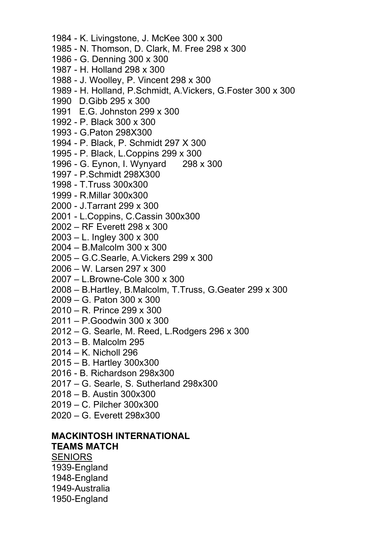- 1984 K. Livingstone, J. McKee 300 x 300 1985 - N. Thomson, D. Clark, M. Free 298 x 300 1986 - G. Denning 300 x 300 1987 - H. Holland 298 x 300 1988 - J. Woolley, P. Vincent 298 x 300 1989 - H. Holland, P.Schmidt, A.Vickers, G.Foster 300 x 300 1990 D.Gibb 295 x 300 1991 E.G. Johnston 299 x 300 1992 - P. Black 300 x 300 1993 - G.Paton 298X300 1994 - P. Black, P. Schmidt 297 X 300 1995 - P. Black, L.Coppins 299 x 300 1996 - G. Eynon, I. Wynyard 298 x 300 1997 - P.Schmidt 298X300 1998 - T.Truss 300x300 1999 - R.Millar 300x300 2000 - J.Tarrant 299 x 300 2001 - L.Coppins, C.Cassin 300x300 2002 – RF Everett 298 x 300 2003 – L. Ingley 300 x 300 2004 – B.Malcolm 300 x 300 2005 – G.C.Searle, A.Vickers 299 x 300 2006 – W. Larsen 297 x 300 2007 – L.Browne-Cole 300 x 300 2008 – B.Hartley, B.Malcolm, T.Truss, G.Geater 299 x 300 2009 – G. Paton 300 x 300 2010 – R. Prince 299 x 300
- 2011 P.Goodwin 300 x 300
- 2012 G. Searle, M. Reed, L.Rodgers 296 x 300
- 2013 B. Malcolm 295
- 2014 K. Nicholl 296
- 2015 B. Hartley 300x300
- 2016 B. Richardson 298x300
- 2017 G. Searle, S. Sutherland 298x300
- 2018 B. Austin 300x300
- 2019 C. Pilcher 300x300
- 2020 G. Everett 298x300

# **MACKINTOSH INTERNATIONAL**

#### **TEAMS MATCH**

SENIORS 1939-England 1948-England 1949-Australia

1950-England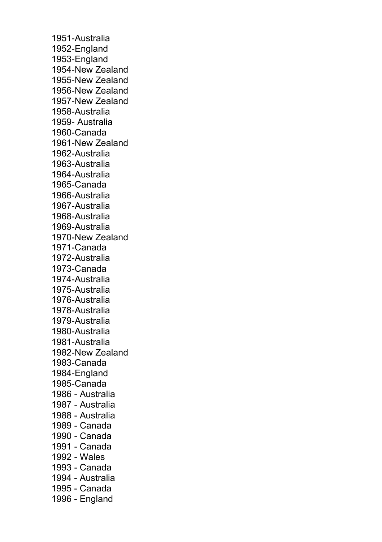1951-Australia 1952-England 1953-England 1954-New Zealand 1955-New Zealand 1956-New Zealand 1957-New Zealand 1958-Australia 1959- Australia 1960-Canada 1961-New Zealand 1962-Australia 1963-Australia 1964-Australia 1965-Canada 1966-Australia 1967-Australia 1968-Australia 1969-Australia 1970-New Zealand 1971-Canada 1972-Australia 1973-Canada 1974-Australia 1975-Australia 1976-Australia 1978-Australia 1979-Australia 1980-Australia 1981-Australia 1982-New Zealand 1983-Canada 1984-England 1985-Canada 1986 - Australia 1987 - Australia 1988 - Australia 1989 - Canada 1990 - Canada 1991 - Canada 1992 - Wales 1993 - Canada 1994 - Australia 1995 - Canada 1996 - England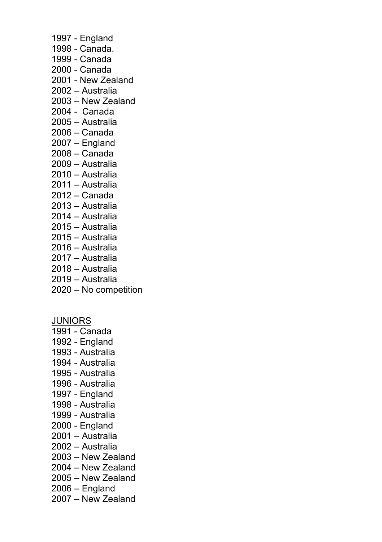- 1997 England
- 1998 Canada.
- 1999 Canada
- 2000 Canada
- 2001 New Zealand
- 2002 Australia
- 2003 New Zealand
- 2004 Canada
- 2005 Australia
- 2006 Canada
- 2007 England
- 2008 Canada
- 2009 Australia
- 2010 Australia
- 2011 Australia
- 2012 Canada
- 2013 Australia
- 2014 Australia
- 2015 Australia
- 2015 Australia
- 2016 Australia
- 2017 Australia
- 2018 Australia
- 2019 Australia
- 2020 No competition

JUNIORS

- 1991 Canada
- 1992 England
- 1993 Australia
- 1994 Australia
- 1995 Australia
- 1996 Australia
- 1997 England
- 1998 Australia
- 1999 Australia
- 2000 England
- 2001 Australia
- 2002 Australia
- 2003 New Zealand
- 2004 New Zealand
- 2005 New Zealand
- 2006 England
- 2007 New Zealand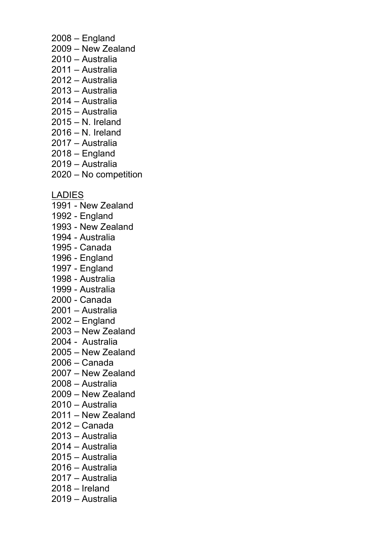- 2008 England
- 2009 New Zealand
- 2010 Australia
- 2011 Australia
- 2012 Australia
- 2013 Australia
- 2014 Australia
- 2015 Australia
- 2015 N. Ireland
- 2016 N. Ireland
- 2017 Australia
- 2018 England
- 2019 Australia
- 2020 No competition

LADIES

- 1991 New Zealand
- 1992 England
- 1993 New Zealand
- 1994 Australia
- 1995 Canada
- 1996 England
- 1997 England
- 1998 Australia
- 1999 Australia
- 2000 Canada
- 2001 Australia
- 2002 England
- 2003 New Zealand
- 2004 Australia
- 2005 New Zealand
- 2006 Canada
- 2007 New Zealand
- 2008 Australia
- 2009 New Zealand
- 2010 Australia
- 2011 New Zealand
- 2012 Canada
- 2013 Australia
- 2014 Australia
- 2015 Australia
- 2016 Australia
- 2017 Australia
- 2018 Ireland
- 2019 Australia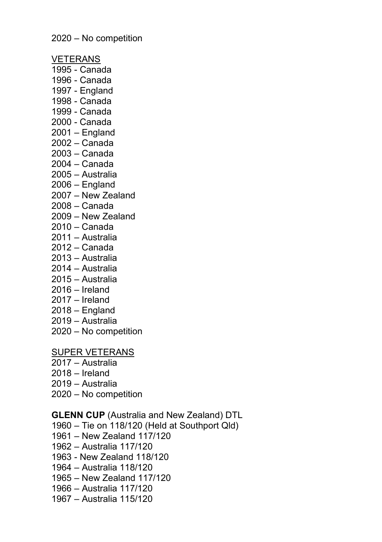2020 – No competition

VETERANS

- 1995 Canada
- 1996 Canada
- 1997 England
- 1998 Canada
- 1999 Canada
- 2000 Canada
- 2001 England
- 2002 Canada
- 2003 Canada
- 2004 Canada
- 2005 Australia
- 2006 England
- 2007 New Zealand
- 2008 Canada
- 2009 New Zealand
- 2010 Canada
- 2011 Australia
- 2012 Canada
- 2013 Australia
- 2014 Australia
- 2015 Australia
- 2016 Ireland
- 2017 Ireland
- 2018 England
- 2019 Australia
- 2020 No competition

SUPER VETERANS

- 2017 Australia
- 2018 Ireland
- 2019 Australia
- 2020 No competition

**GLENN CUP** (Australia and New Zealand) DTL

- 1960 Tie on 118/120 (Held at Southport Qld)
- 1961 New Zealand 117/120
- 1962 Australia 117/120
- 1963 New Zealand 118/120
- 1964 Australia 118/120
- 1965 New Zealand 117/120
- 1966 Australia 117/120
- 1967 Australia 115/120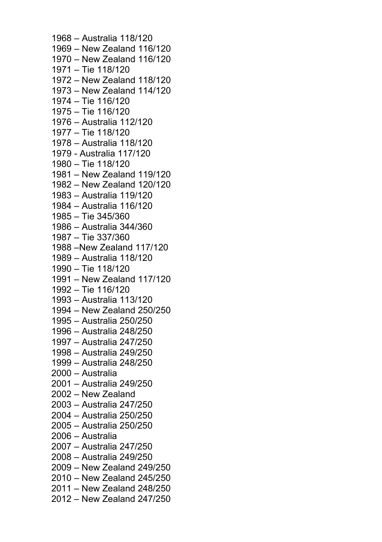1968 – Australia 118/120 1969 – New Zealand 116/120 1970 – New Zealand 116/120 1971 – Tie 118/120 1972 – New Zealand 118/120 1973 – New Zealand 114/120 1974 – Tie 116/120 1975 – Tie 116/120 1976 – Australia 112/120 1977 – Tie 118/120 1978 – Australia 118/120 1979 - Australia 117/120 1980 – Tie 118/120 1981 – New Zealand 119/120 1982 – New Zealand 120/120 1983 – Australia 119/120 1984 – Australia 116/120 1985 – Tie 345/360 1986 – Australia 344/360 1987 – Tie 337/360 1988 –New Zealand 117/120 1989 – Australia 118/120 1990 – Tie 118/120 1991 – New Zealand 117/120 1992 – Tie 116/120 1993 – Australia 113/120 1994 – New Zealand 250/250 1995 – Australia 250/250 1996 – Australia 248/250 1997 – Australia 247/250 1998 – Australia 249/250 1999 – Australia 248/250 2000 – Australia 2001 – Australia 249/250 2002 – New Zealand 2003 – Australia 247/250 2004 – Australia 250/250 2005 – Australia 250/250 2006 – Australia 2007 – Australia 247/250 2008 – Australia 249/250 2009 – New Zealand 249/250 2010 – New Zealand 245/250 2011 – New Zealand 248/250 2012 – New Zealand 247/250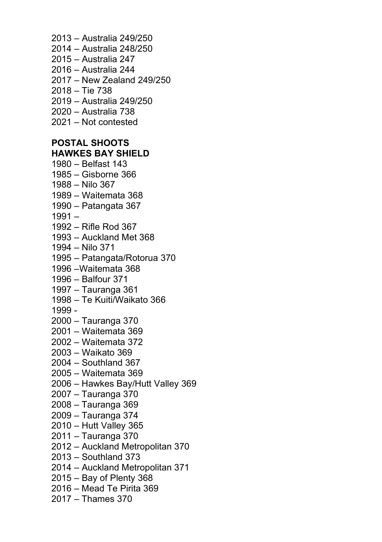2013 – Australia 249/250 2014 – Australia 248/250 2015 – Australia 247 2016 – Australia 244 2017 – New Zealand 249/250 2018 – Tie 738 2019 – Australia 249/250 2020 – Australia 738 2021 – Not contested **POSTAL SHOOTS HAWKES BAY SHIELD** 1980 – Belfast 143 1985 – Gisborne 366 1988 – Nilo 367 1989 – Waitemata 368 1990 – Patangata 367 1991 – 1992 – Rifle Rod 367 1993 – Auckland Met 368 1994 – Nilo 371 1995 – Patangata/Rotorua 370 1996 –Waitemata 368 1996 – Balfour 371 1997 – Tauranga 361 1998 – Te Kuiti/Waikato 366 1999 - 2000 – Tauranga 370 2001 – Waitemata 369 2002 – Waitemata 372 2003 – Waikato 369 2004 – Southland 367 2005 – Waitemata 369 2006 – Hawkes Bay/Hutt Valley 369 2007 – Tauranga 370 2008 – Tauranga 369 2009 – Tauranga 374 2010 – Hutt Valley 365 2011 – Tauranga 370 2012 – Auckland Metropolitan 370 2013 – Southland 373 2014 – Auckland Metropolitan 371 2015 – Bay of Plenty 368 2016 – Mead Te Pirita 369 2017 – Thames 370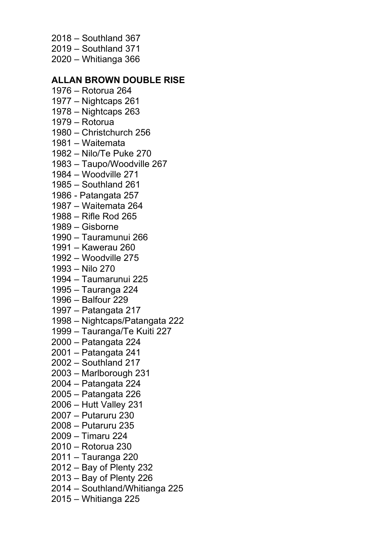- 2018 Southland 367
- 2019 Southland 371
- 2020 Whitianga 366

### **ALLAN BROWN DOUBLE RISE**

- 1976 Rotorua 264
- 1977 Nightcaps 261
- 1978 Nightcaps 263
- 1979 Rotorua
- 1980 Christchurch 256
- 1981 Waitemata
- 1982 Nilo/Te Puke 270
- 1983 Taupo/Woodville 267
- 1984 Woodville 271
- 1985 Southland 261
- 1986 Patangata 257
- 1987 Waitemata 264
- 1988 Rifle Rod 265
- 1989 Gisborne
- 1990 Tauramunui 266
- 1991 Kawerau 260
- 1992 Woodville 275
- 1993 Nilo 270
- 1994 Taumarunui 225
- 1995 Tauranga 224
- 1996 Balfour 229
- 1997 Patangata 217
- 1998 Nightcaps/Patangata 222
- 1999 Tauranga/Te Kuiti 227
- 2000 Patangata 224
- 2001 Patangata 241
- 2002 Southland 217
- 2003 Marlborough 231
- 2004 Patangata 224
- 2005 Patangata 226
- 2006 Hutt Valley 231
- 2007 Putaruru 230
- 2008 Putaruru 235
- 2009 Timaru 224
- 2010 Rotorua 230
- 2011 Tauranga 220
- 2012 Bay of Plenty 232
- 2013 Bay of Plenty 226
- 2014 Southland/Whitianga 225
- 2015 Whitianga 225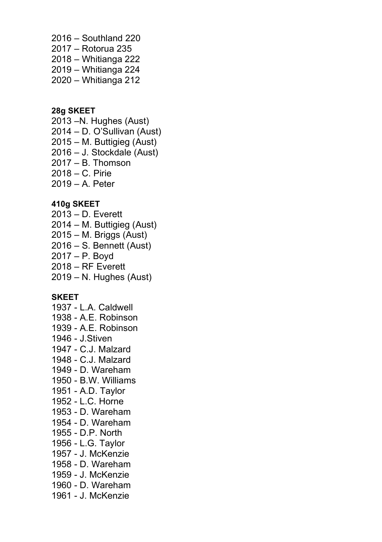2016 – Southland 220 2017 – Rotorua 235 2018 – Whitianga 222 2019 – Whitianga 224 2020 – Whitianga 212

### **28g SKEET**

2013 –N. Hughes (Aust) 2014 – D. O'Sullivan (Aust) 2015 – M. Buttigieg (Aust) 2016 – J. Stockdale (Aust) 2017 – B. Thomson 2018 – C. Pirie 2019 – A. Peter

### **410g SKEET**

2013 – D. Everett 2014 – M. Buttigieg (Aust) 2015 – M. Briggs (Aust) 2016 – S. Bennett (Aust) 2017 – P. Boyd 2018 – RF Everett 2019 – N. Hughes (Aust)

### **SKEET**

- 1937 L.A. Caldwell 1938 - A.E. Robinson 1939 - A.E. Robinson
- 1946 J.Stiven
- 1947 C.J. Malzard
- 1948 C.J. Malzard
- 1949 D. Wareham
- 1950 B.W. Williams
- 1951 A.D. Taylor
- 1952 L.C. Horne
- 1953 D. Wareham
- 1954 D. Wareham
- 1955 D.P. North
- 1956 L.G. Taylor
- 1957 J. McKenzie
- 1958 D. Wareham
- 1959 J. McKenzie
- 1960 D. Wareham
- 1961 J. McKenzie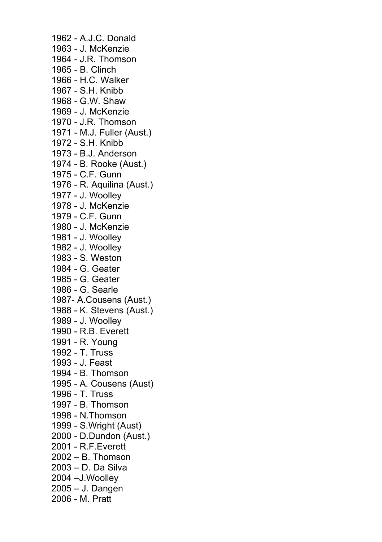1962 - A.J.C. Donald 1963 - J. McKenzie 1964 - J.R. Thomson 1965 - B. Clinch 1966 - H.C. Walker 1967 - S.H. Knibb 1968 - G.W. Shaw 1969 - J. McKenzie 1970 - J.R. Thomson 1971 - M.J. Fuller (Aust.) 1972 - S.H. Knibb 1973 - B.J. Anderson 1974 - B. Rooke (Aust.) 1975 - C.F. Gunn 1976 - R. Aquilina (Aust.) 1977 - J. Woolley 1978 - J. McKenzie 1979 - C.F. Gunn 1980 - J. McKenzie 1981 - J. Woolley 1982 - J. Woolley 1983 - S. Weston 1984 - G. Geater 1985 - G. Geater 1986 - G. Searle 1987- A.Cousens (Aust.) 1988 - K. Stevens (Aust.) 1989 - J. Woolley 1990 - R.B. Everett 1991 - R. Young 1992 - T. Truss 1993 - J. Feast 1994 - B. Thomson 1995 - A. Cousens (Aust) 1996 - T. Truss 1997 - B. Thomson 1998 - N.Thomson 1999 - S.Wright (Aust) 2000 - D.Dundon (Aust.) 2001 - R.F.Everett 2002 – B. Thomson 2003 – D. Da Silva 2004 –J.Woolley 2005 – J. Dangen 2006 - M. Pratt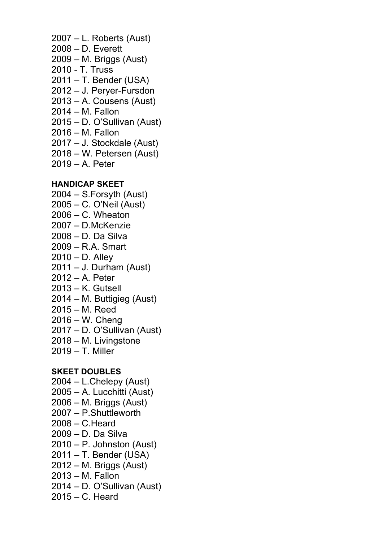- 2007 L. Roberts (Aust) 2008 – D. Everett 2009 – M. Briggs (Aust) 2010 - T. Truss 2011 – T. Bender (USA) 2012 – J. Peryer-Fursdon 2013 – A. Cousens (Aust) 2014 – M. Fallon
- 2015 D. O'Sullivan (Aust)
- 2016 M. Fallon
- 2017 J. Stockdale (Aust)
- 2018 W. Petersen (Aust)
- 2019 A. Peter

### **HANDICAP SKEET**

- 2004 S.Forsyth (Aust)
- 2005 C. O'Neil (Aust)
- 2006 C. Wheaton
- 2007 D.McKenzie
- 2008 D. Da Silva
- 2009 R.A. Smart
- 2010 D. Alley
- 2011 J. Durham (Aust)
- 2012 A. Peter
- 2013 K. Gutsell
- 2014 M. Buttigieg (Aust)
- 2015 M. Reed
- 2016 W. Cheng
- 2017 D. O'Sullivan (Aust)
- 2018 M. Livingstone
- 2019 T. Miller

#### **SKEET DOUBLES**

- 2004 L.Chelepy (Aust)
- 2005 A. Lucchitti (Aust)
- 2006 M. Briggs (Aust)
- 2007 P.Shuttleworth
- 2008 C.Heard
- 2009 D. Da Silva
- 2010 P. Johnston (Aust)
- 2011 T. Bender (USA)
- 2012 M. Briggs (Aust)
- 2013 M. Fallon
- 2014 D. O'Sullivan (Aust)
- 2015 C. Heard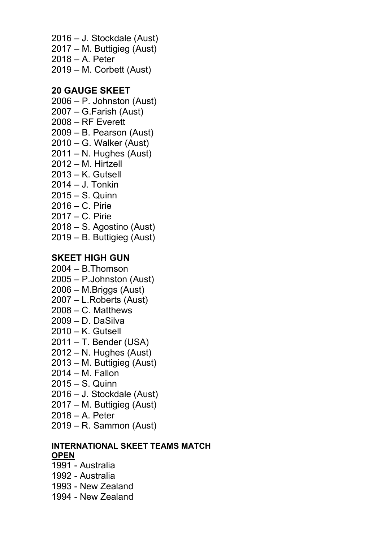2016 – J. Stockdale (Aust) 2017 – M. Buttigieg (Aust) 2018 – A. Peter 2019 – M. Corbett (Aust)

# **20 GAUGE SKEET**

- 2006 P. Johnston (Aust)
- 2007 G.Farish (Aust)
- 2008 RF Everett
- 2009 B. Pearson (Aust)
- 2010 G. Walker (Aust)
- 2011 N. Hughes (Aust)
- 2012 M. Hirtzell
- 2013 K. Gutsell
- 2014 J. Tonkin
- 2015 S. Quinn
- 2016 C. Pirie
- 2017 C. Pirie
- 2018 S. Agostino (Aust)
- 2019 B. Buttigieg (Aust)

# **SKEET HIGH GUN**

- 2004 B.Thomson
- 2005 P.Johnston (Aust)
- 2006 M.Briggs (Aust)
- 2007 L.Roberts (Aust)
- 2008 C. Matthews
- 2009 D. DaSilva
- 2010 K. Gutsell
- 2011 T. Bender (USA)
- 2012 N. Hughes (Aust)
- 2013 M. Buttigieg (Aust)
- 2014 M. Fallon
- 2015 S. Quinn
- 2016 J. Stockdale (Aust)
- 2017 M. Buttigieg (Aust)
- 2018 A. Peter
- 2019 R. Sammon (Aust)

### **INTERNATIONAL SKEET TEAMS MATCH OPEN**

- 1991 Australia
- 1992 Australia
- 1993 New Zealand
- 1994 New Zealand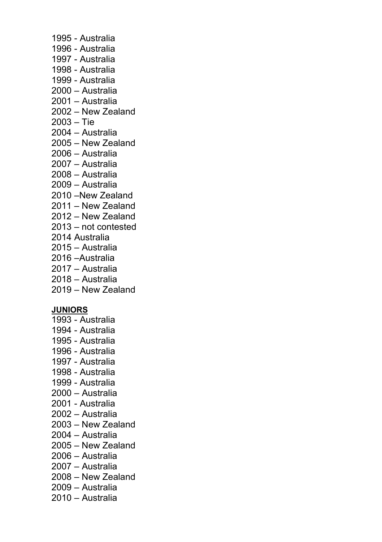- 1995 Australia
- 1996 Australia
- 1997 Australia
- 1998 Australia
- 1999 Australia
- 2000 Australia
- 2001 Australia
- 2002 New Zealand
- 2003 Tie
- 2004 Australia
- 2005 New Zealand
- 2006 Australia
- 2007 Australia
- 2008 Australia
- 2009 Australia
- 2010 –New Zealand
- 2011 New Zealand
- 2012 New Zealand
- 2013 not contested
- 2014 Australia
- 2015 Australia
- 2016 –Australia
- 2017 Australia
- 2018 Australia
- 2019 New Zealand

# **JUNIORS**

- 1993 Australia
- 1994 Australia
- 1995 Australia
- 1996 Australia
- 1997 Australia
- 1998 Australia
- 1999 Australia
- 2000 Australia
- 2001 Australia
- 2002 Australia
- 2003 New Zealand
- 2004 Australia
- 2005 New Zealand
- 2006 Australia
- 2007 Australia
- 2008 New Zealand
- 2009 Australia
- 2010 Australia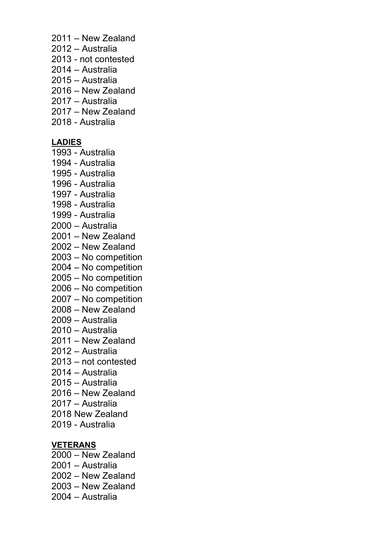- 2011 New Zealand
- 2012 Australia
- 2013 not contested
- 2014 Australia
- 2015 Australia
- 2016 New Zealand
- 2017 Australia
- 2017 New Zealand
- 2018 Australia

# **LADIES**

- 1993 Australia
- 1994 Australia
- 1995 Australia
- 1996 Australia
- 1997 Australia
- 1998 Australia
- 1999 Australia
- 2000 Australia
- 2001 New Zealand
- 2002 New Zealand
- 2003 No competition
- 2004 No competition
- 2005 No competition
- 2006 No competition
- 2007 No competition
- 2008 New Zealand
- 2009 Australia
- 2010 Australia
- 2011 New Zealand
- 2012 Australia
- 2013 not contested
- 2014 Australia
- 2015 Australia
- 2016 New Zealand
- 2017 Australia
- 2018 New Zealand
- 2019 Australia

### **VETERANS**

- 2000 New Zealand 2001 – Australia
- 
- 2002 New Zealand
- 2003 New Zealand
- 2004 Australia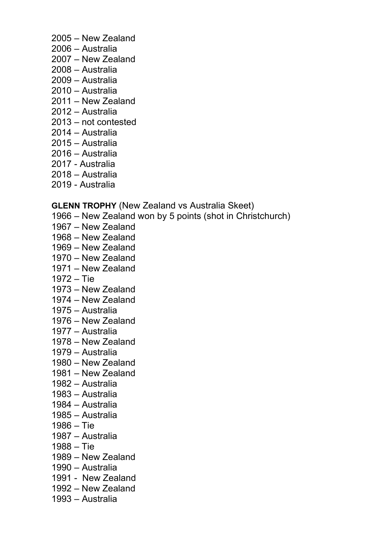- 2005 New Zealand
- 2006 Australia
- 2007 New Zealand
- 2008 Australia
- 2009 Australia
- 2010 Australia
- 2011 New Zealand
- 2012 Australia
- 2013 not contested
- 2014 Australia
- 2015 Australia
- 2016 Australia
- 2017 Australia
- 2018 Australia
- 2019 Australia

### **GLENN TROPHY** (New Zealand vs Australia Skeet)

- 1966 New Zealand won by 5 points (shot in Christchurch)
- 1967 New Zealand
- 1968 New Zealand
- 1969 New Zealand
- 1970 New Zealand
- 1971 New Zealand
- 1972 Tie
- 1973 New Zealand
- 1974 New Zealand
- 1975 Australia
- 1976 New Zealand
- 1977 Australia
- 1978 New Zealand
- 1979 Australia
- 1980 New Zealand
- 1981 New Zealand
- 1982 Australia
- 1983 Australia
- 1984 Australia
- 1985 Australia
- 1986 Tie
- 1987 Australia
- 1988 Tie
- 1989 New Zealand
- 1990 Australia
- 1991 New Zealand
- 1992 New Zealand
- 1993 Australia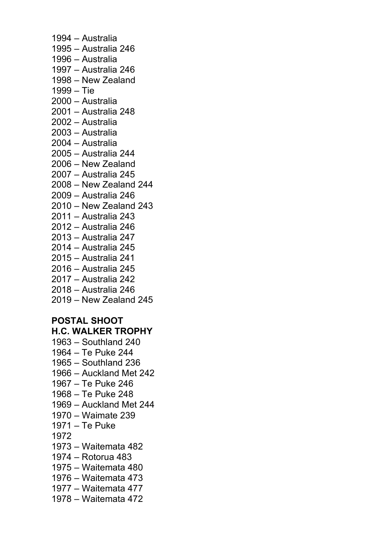1994 – Australia 1995 – Australia 246 1996 – Australia 1997 – Australia 246 1998 – New Zealand 1999 – Tie 2000 – Australia 2001 – Australia 248 2002 – Australia 2003 – Australia 2004 – Australia 2005 – Australia 244 2006 – New Zealand 2007 – Australia 245 2008 – New Zealand 244 2009 – Australia 246 2010 – New Zealand 243 2011 – Australia 243 2012 – Australia 246 2013 – Australia 247 2014 – Australia 245 2015 – Australia 241 2016 – Australia 245 2017 – Australia 242 2018 – Australia 246 2019 – New Zealand 245 **POSTAL SHOOT H.C. WALKER TROPHY** 1963 – Southland 240 1964 – Te Puke 244 1965 – Southland 236 1966 – Auckland Met 242 1967 – Te Puke 246 1968 – Te Puke 248 1969 – Auckland Met 244 1970 – Waimate 239 1971 – Te Puke 1972 1973 – Waitemata 482 1974 – Rotorua 483 1975 – Waitemata 480 1976 – Waitemata 473 1977 – Waitemata 477 1978 – Waitemata 472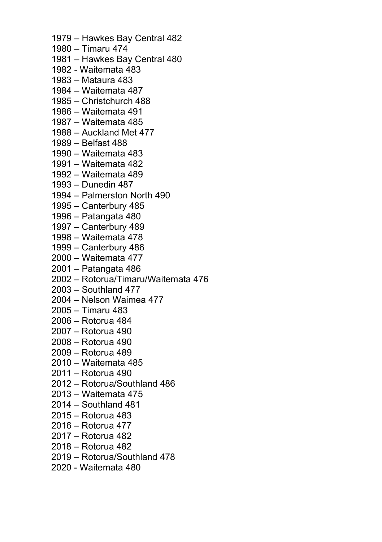- 1979 Hawkes Bay Central 482
- 1980 Timaru 474
- 1981 Hawkes Bay Central 480
- 1982 Waitemata 483
- 1983 Mataura 483
- 1984 Waitemata 487
- 1985 Christchurch 488
- 1986 Waitemata 491
- 1987 Waitemata 485
- 1988 Auckland Met 477
- 1989 Belfast 488
- 1990 Waitemata 483
- 1991 Waitemata 482
- 1992 Waitemata 489
- 1993 Dunedin 487
- 1994 Palmerston North 490
- 1995 Canterbury 485
- 1996 Patangata 480
- 1997 Canterbury 489
- 1998 Waitemata 478
- 1999 Canterbury 486
- 2000 Waitemata 477
- 2001 Patangata 486
- 2002 Rotorua/Timaru/Waitemata 476
- 2003 Southland 477
- 2004 Nelson Waimea 477
- 2005 Timaru 483
- 2006 Rotorua 484
- 2007 Rotorua 490
- 2008 Rotorua 490
- 2009 Rotorua 489
- 2010 Waitemata 485
- 2011 Rotorua 490
- 2012 Rotorua/Southland 486
- 2013 Waitemata 475
- 2014 Southland 481
- 2015 Rotorua 483
- 2016 Rotorua 477
- 2017 Rotorua 482
- 2018 Rotorua 482
- 2019 Rotorua/Southland 478
- 2020 Waitemata 480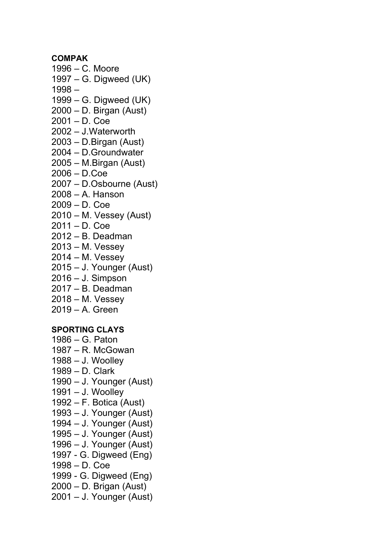**COMPAK**

- 1996 C. Moore 1997 – G. Digweed (UK)
- 1998 –
- 1999 G. Digweed (UK)
- 2000 D. Birgan (Aust)
- 2001 D. Coe
- 2002 J.Waterworth
- 2003 D.Birgan (Aust)
- 2004 D.Groundwater
- 2005 M.Birgan (Aust)
- 2006 D.Coe
- 2007 D.Osbourne (Aust)
- 2008 A. Hanson
- 2009 D. Coe
- 2010 M. Vessey (Aust)
- 2011 D. Coe
- 2012 B. Deadman
- 2013 M. Vessey
- 2014 M. Vessey
- 2015 J. Younger (Aust)
- 2016 J. Simpson
- 2017 B. Deadman
- 2018 M. Vessey
- 2019 A. Green

# **SPORTING CLAYS**

- 1986 G. Paton
- 1987 R. McGowan
- 1988 J. Woolley
- 1989 D. Clark
- 1990 J. Younger (Aust)
- 1991 J. Woolley
- 1992 F. Botica (Aust)
- 1993 J. Younger (Aust)
- 1994 J. Younger (Aust)
- 1995 J. Younger (Aust)
- 1996 J. Younger (Aust)
- 1997 G. Digweed (Eng)
- 1998 D. Coe
- 1999 G. Digweed (Eng)
- 2000 D. Brigan (Aust)
- 2001 J. Younger (Aust)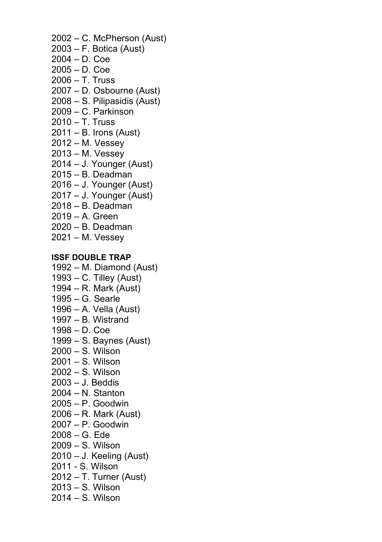- 2002 C. McPherson (Aust)
- 2003 F. Botica (Aust)
- 2004 D. Coe
- 2005 D. Coe
- 2006 T. Truss
- 2007 D. Osbourne (Aust)
- 2008 S. Pilipasidis (Aust)
- 2009 C. Parkinson
- 2010 T. Truss
- 2011 B. Irons (Aust)
- 2012 M. Vessey
- 2013 M. Vessey
- 2014 J. Younger (Aust)
- 2015 B. Deadman
- 2016 J. Younger (Aust)
- 2017 J. Younger (Aust)
- 2018 B. Deadman
- 2019 A. Green
- 2020 B. Deadman
- 2021 M. Vessey

# **ISSF DOUBLE TRAP**

- 1992 M. Diamond (Aust)
- 1993 C. Tilley (Aust)
- 1994 R. Mark (Aust)
- 1995 G. Searle
- 1996 A. Vella (Aust)
- 1997 B. Wistrand
- 1998 D. Coe
- 1999 S. Baynes (Aust)
- 2000 S. Wilson
- 2001 S. Wilson
- 2002 S. Wilson
- 2003 J. Beddis
- 2004 N. Stanton
- 2005 P. Goodwin
- 2006 R. Mark (Aust)
- 2007 P. Goodwin
- 2008 G. Ede
- 2009 S. Wilson
- 2010 J. Keeling (Aust)
- 2011 S. Wilson
- 2012 T. Turner (Aust)
- 2013 S. Wilson
- 2014 S. Wilson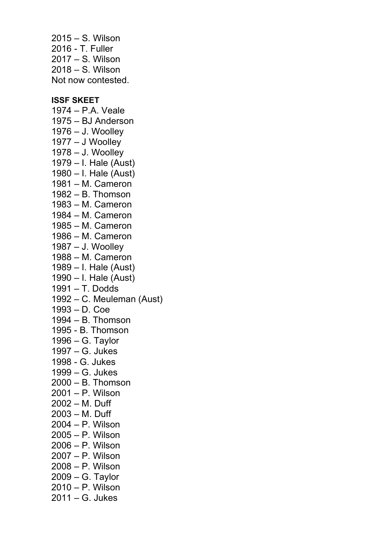2015 – S. Wilson 2016 - T. Fuller 2017 – S. Wilson 2018 – S. Wilson Not now contested.

#### **ISSF SKEET**

1974 – P.A. Veale 1975 – BJ Anderson 1976 – J. Woolley 1977 – J Woolley 1978 – J. Woolley 1979 – I. Hale (Aust) 1980 – I. Hale (Aust) 1981 – M. Cameron 1982 – B. Thomson 1983 – M. Cameron 1984 – M. Cameron 1985 – M. Cameron 1986 – M. Cameron 1987 – J. Woolley 1988 – M. Cameron 1989 – I. Hale (Aust) 1990 – I. Hale (Aust) 1991 – T. Dodds 1992 – C. Meuleman (Aust) 1993 – D. Coe 1994 – B. Thomson 1995 - B. Thomson 1996 – G. Taylor 1997 – G. Jukes 1998 - G. Jukes 1999 – G. Jukes 2000 – B. Thomson 2001 – P. Wilson 2002 – M. Duff 2003 – M. Duff 2004 – P. Wilson 2005 – P. Wilson 2006 – P. Wilson 2007 – P. Wilson 2008 – P. Wilson 2009 – G. Taylor 2010 – P. Wilson 2011 – G. Jukes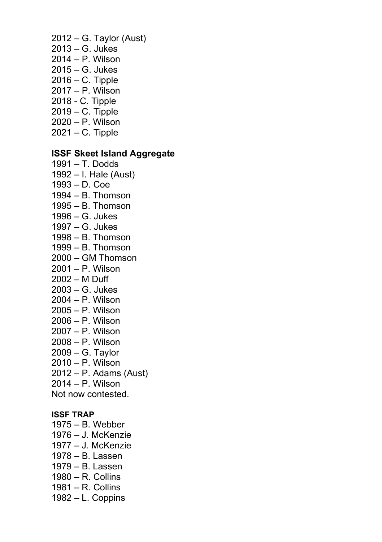- 2012 G. Taylor (Aust) 2013 – G. Jukes 2014 – P. Wilson 2015 – G. Jukes
- 2016 C. Tipple
- 2017 P. Wilson
- 2018 C. Tipple
- 2019 C. Tipple
- 2020 P. Wilson
- 2021 C. Tipple

# **ISSF Skeet Island Aggregate**

- 1991 T. Dodds 1992 – I. Hale (Aust) 1993 – D. Coe
- 1994 B. Thomson
- 1995 B. Thomson
- 1996 G. Jukes
- 1997 G. Jukes
- 1998 B. Thomson
- 1999 B. Thomson
- 2000 GM Thomson
- 2001 P. Wilson
- 2002 M Duff
- 2003 G. Jukes
- 2004 P. Wilson
- 2005 P. Wilson
- 2006 P. Wilson
- 2007 P. Wilson
- 2008 P. Wilson
- 2009 G. Taylor
- 2010 P. Wilson
- 2012 P. Adams (Aust)
- 2014 P. Wilson

Not now contested.

#### **ISSF TRAP**

- 1975 B. Webber 1976 – J. McKenzie 1977 – J. McKenzie 1978 – B. Lassen
- 1979 B. Lassen
- 1980 R. Collins
- 1981 R. Collins
- 
- 1982 L. Coppins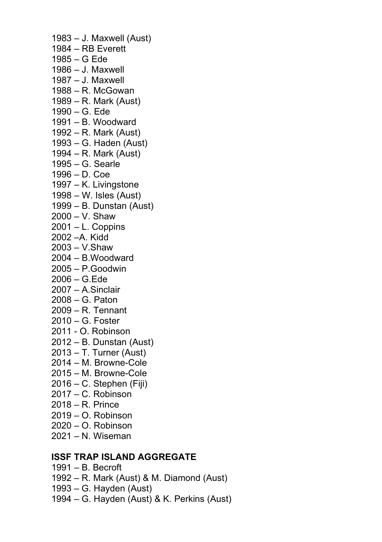1983 – J. Maxwell (Aust) 1984 – RB Everett 1985 – G Ede 1986 – J. Maxwell 1987 – J. Maxwell 1988 – R. McGowan 1989 – R. Mark (Aust) 1990 – G. Ede 1991 – B. Woodward 1992 – R. Mark (Aust) 1993 – G. Haden (Aust) 1994 – R. Mark (Aust) 1995 – G. Searle 1996 – D. Coe 1997 – K. Livingstone 1998 – W. Isles (Aust) 1999 – B. Dunstan (Aust) 2000 – V. Shaw  $2001 - L$ . Coppins 2002 –A. Kidd 2003 – V.Shaw 2004 – B.Woodward 2005 – P.Goodwin 2006 – G.Ede 2007 – A.Sinclair 2008 – G. Paton 2009 – R. Tennant 2010 – G. Foster 2011 - O. Robinson 2012 – B. Dunstan (Aust) 2013 – T. Turner (Aust) 2014 – M. Browne-Cole 2015 – M. Browne-Cole 2016 – C. Stephen (Fiji) 2017 – C. Robinson 2018 – R. Prince  $2019 - \Omega$  Robinson 2020 – O. Robinson

2021 – N. Wiseman

# **ISSF TRAP ISLAND AGGREGATE**

- 1991 B. Becroft
- 1992 R. Mark (Aust) & M. Diamond (Aust)
- 1993 G. Hayden (Aust)
- 1994 G. Hayden (Aust) & K. Perkins (Aust)